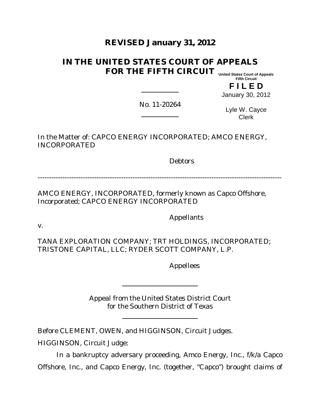# **REVISED January 31, 2012**

#### **IN THE UNITED STATES COURT OF APPEALS FOR THE FIFTH CIRCUIT United States Court of Appeals**

**Fifth Circuit**

**F I L E D**

January 30, 2012

No. 11-20264

Lyle W. Cayce Clerk

In the Matter of: CAPCO ENERGY INCORPORATED; AMCO ENERGY, INCORPORATED

**Debtors** 

------------------------------------------------------------------------------------------------------------

AMCO ENERGY, INCORPORATED, formerly known as Capco Offshore, Incorporated; CAPCO ENERGY INCORPORATED

Appellants

v.

TANA EXPLORATION COMPANY; TRT HOLDINGS, INCORPORATED; TRISTONE CAPITAL, LLC; RYDER SCOTT COMPANY, L.P.

Appellees

Appeal from the United States District Court for the Southern District of Texas

Before CLEMENT, OWEN, and HIGGINSON, Circuit Judges.

HIGGINSON, Circuit Judge:

In a bankruptcy adversary proceeding, Amco Energy, Inc., f/k/a Capco Offshore, Inc., and Capco Energy, Inc. (together, "Capco") brought claims of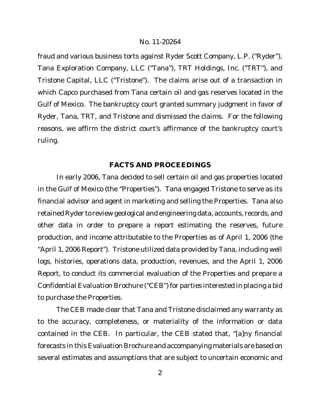fraud and various business torts against Ryder Scott Company, L.P. ("Ryder"), Tana Exploration Company, LLC ("Tana"), TRT Holdings, Inc. ("TRT"), and Tristone Capital, LLC ("Tristone"). The claims arise out of a transaction in which Capco purchased from Tana certain oil and gas reserves located in the Gulf of Mexico. The bankruptcy court granted summary judgment in favor of Ryder, Tana, TRT, and Tristone and dismissed the claims. For the following reasons, we affirm the district court's affirmance of the bankruptcy court's ruling.

# **FACTS AND PROCEEDINGS**

In early 2006, Tana decided to sell certain oil and gas properties located in the Gulf of Mexico (the "Properties"). Tana engaged Tristone to serve as its financial advisor and agent in marketing and selling the Properties. Tana also retained Ryder to review geological and engineering data, accounts, records, and other data in order to prepare a report estimating the reserves, future production, and income attributable to the Properties as of April 1, 2006 (the "April 1, 2006 Report"). Tristone utilized data provided by Tana, including well logs, histories, operations data, production, revenues, and the April 1, 2006 Report, to conduct its commercial evaluation of the Properties and prepare a Confidential Evaluation Brochure ("CEB") for parties interested in placing a bid to purchase the Properties.

The CEB made clear that Tana and Tristone disclaimed any warranty as to the accuracy, completeness, or materiality of the information or data contained in the CEB. In particular, the CEB stated that, "[a]ny financial forecasts in this Evaluation Brochure and accompanying materials are based on several estimates and assumptions that are subject to uncertain economic and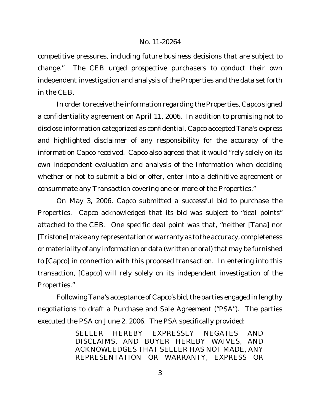competitive pressures, including future business decisions that are subject to change." The CEB urged prospective purchasers to conduct their own independent investigation and analysis of the Properties and the data set forth in the CEB.

In order to receive the information regarding the Properties, Capco signed a confidentiality agreement on April 11, 2006. In addition to promising not to disclose information categorized as confidential, Capco accepted Tana's express and highlighted disclaimer of any responsibility for the accuracy of the information Capco received. Capco also agreed that it would "rely solely on its own independent evaluation and analysis of the Information when deciding whether or not to submit a bid or offer, enter into a definitive agreement or consummate any Transaction covering one or more of the Properties."

On May 3, 2006, Capco submitted a successful bid to purchase the Properties. Capco acknowledged that its bid was subject to "deal points" attached to the CEB. One specific deal point was that, "neither [Tana] nor [Tristone] make any representation or warranty as to the accuracy, completeness or materiality of any information or data (written or oral) that may be furnished to [Capco] in connection with this proposed transaction. In entering into this transaction, [Capco] will rely solely on its independent investigation of the Properties."

Following Tana's acceptance of Capco's bid, the parties engaged in lengthy negotiations to draft a Purchase and Sale Agreement ("PSA"). The parties executed the PSA on June 2, 2006. The PSA specifically provided:

> SELLER HEREBY EXPRESSLY NEGATES AND DISCLAIMS, AND BUYER HEREBY WAIVES, AND ACKNOWLEDGES THAT SELLER HAS NOT MADE, ANY REPRESENTATION OR WARRANTY, EXPRESS OR

> > 3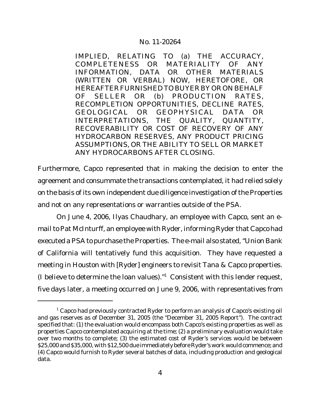IMPLIED, RELATING TO (a) THE ACCURACY, COMPLETENESS OR MATERIALITY OF ANY INFORMATION, DATA OR OTHER MATERIALS (WRITTEN OR VERBAL) NOW, HERETOFORE, OR HEREAFTER FURNISHED TO BUYER BY OR ON BEHALF OF SELLER OR (b) PRODUCTION RATES, RECOMPLETION OPPORTUNITIES, DECLINE RATES, GEOLOGICAL OR GEOPHYSICAL DATA OR INTERPRETATIONS, THE QUALITY, QUANTITY, RECOVERABILITY OR COST OF RECOVERY OF ANY HYDROCARBON RESERVES, ANY PRODUCT PRICING ASSUMPTIONS, OR THE ABILITY TO SELL OR MARKET ANY HYDROCARBONS AFTER CLOSING.

Furthermore, Capco represented that in making the decision to enter the agreement and consummate the transactions contemplated, it had relied solely on the basis of its own independent due diligence investigation of the Properties and not on any representations or warranties outside of the PSA.

On June 4, 2006, Ilyas Chaudhary, an employee with Capco, sent an email to Pat McInturff, an employee with Ryder, informing Ryder that Capco had executed a PSA to purchase the Properties. The e-mail also stated, "Union Bank of California will tentatively fund this acquisition. They have requested a meeting in Houston with [Ryder] engineers to revisit Tana & Capco properties. (I believe to determine the loan values)."<sup>1</sup> Consistent with this lender request, five days later, a meeting occurred on June 9, 2006, with representatives from

 $1$  Capco had previously contracted Ryder to perform an analysis of Capco's existing oil and gas reserves as of December 31, 2005 (the "December 31, 2005 Report"). The contract specified that: (1) the evaluation would encompass both Capco's existing properties as well as properties Capco contemplated acquiring at the time; (2) a preliminary evaluation would take over two months to complete; (3) the estimated cost of Ryder's services would be between \$25,000 and \$35,000, with \$12,500 due immediately before Ryder's work would commence; and (4) Capco would furnish to Ryder several batches of data, including production and geological data.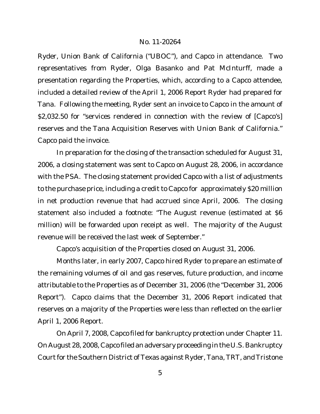Ryder, Union Bank of California ("UBOC"), and Capco in attendance. Two representatives from Ryder, Olga Basanko and Pat McInturff, made a presentation regarding the Properties, which, according to a Capco attendee, included a detailed review of the April 1, 2006 Report Ryder had prepared for Tana. Following the meeting, Ryder sent an invoice to Capco in the amount of \$2,032.50 for "services rendered in connection with the review of [Capco's] reserves and the Tana Acquisition Reserves with Union Bank of California." Capco paid the invoice.

In preparation for the closing of the transaction scheduled for August 31, 2006, a closing statement was sent to Capco on August 28, 2006, in accordance with the PSA. The closing statement provided Capco with a list of adjustments to the purchase price, including a credit to Capco for approximately \$20 million in net production revenue that had accrued since April, 2006. The closing statement also included a footnote: "The August revenue (estimated at \$6 million) will be forwarded upon receipt as well. The majority of the August revenue will be received the last week of September."

Capco's acquisition of the Properties closed on August 31, 2006.

Months later, in early 2007, Capco hired Ryder to prepare an estimate of the remaining volumes of oil and gas reserves, future production, and income attributable to the Properties as of December 31, 2006 (the "December 31, 2006 Report"). Capco claims that the December 31, 2006 Report indicated that reserves on a majority of the Properties were less than reflected on the earlier April 1, 2006 Report.

On April 7, 2008, Capco filed for bankruptcy protection under Chapter 11. On August 28, 2008, Capco filed an adversary proceeding in the U.S. Bankruptcy Court for the Southern District of Texas against Ryder, Tana, TRT, and Tristone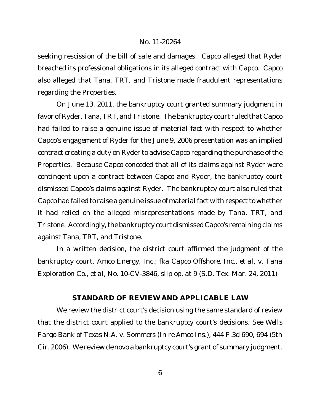seeking rescission of the bill of sale and damages. Capco alleged that Ryder breached its professional obligations in its alleged contract with Capco. Capco also alleged that Tana, TRT, and Tristone made fraudulent representations regarding the Properties.

On June 13, 2011, the bankruptcy court granted summary judgment in favor of Ryder, Tana, TRT, and Tristone. The bankruptcy court ruled that Capco had failed to raise a genuine issue of material fact with respect to whether Capco's engagement of Ryder for the June 9, 2006 presentation was an implied contract creating a duty on Ryder to advise Capco regarding the purchase of the Properties. Because Capco conceded that all of its claims against Ryder were contingent upon a contract between Capco and Ryder, the bankruptcy court dismissed Capco's claims against Ryder. The bankruptcy court also ruled that Capco had failed to raise a genuine issue of material fact with respect to whether it had relied on the alleged misrepresentations made by Tana, TRT, and Tristone. Accordingly, the bankruptcy court dismissed Capco's remaining claims against Tana, TRT, and Tristone.

In a written decision, the district court affirmed the judgment of the bankruptcy court. *Amco Energy, Inc.; fka Capco Offshore, Inc., et al, v. Tana Exploration Co., et al*, No. 10-CV-3846, slip op. at 9 (S.D. Tex. Mar. 24, 2011)

# **STANDARD OF REVIEW AND APPLICABLE LAW**

We review the district court's decision using the same standard of review that the district court applied to the bankruptcy court's decisions. *See Wells Fargo Bank of Texas N.A. v. Sommers (In re Amco Ins.)*, 444 F.3d 690, 694 (5th Cir. 2006). We review *de novo* a bankruptcy court's grant of summary judgment.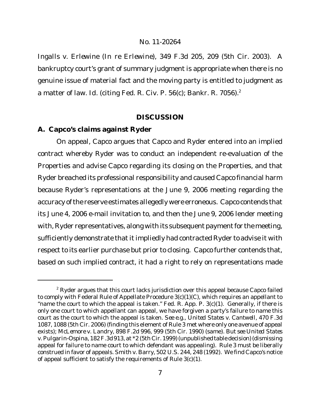*Ingalls v. Erlewine (In re Erlewine)*, 349 F.3d 205, 209 (5th Cir. 2003). A bankruptcy court's grant of summary judgment is appropriate when there is no genuine issue of material fact and the moving party is entitled to judgment as a matter of law. *Id.* (citing Fed. R. Civ. P. 56(c); Bankr. R. 7056).<sup>2</sup>

# **DISCUSSION**

# **A. Capco's claims against Ryder**

On appeal, Capco argues that Capco and Ryder entered into an implied contract whereby Ryder was to conduct an independent re-evaluation of the Properties and advise Capco regarding its closing on the Properties, and that Ryder breached its professional responsibility and caused Capco financial harm because Ryder's representations at the June 9, 2006 meeting regarding the accuracy of the reserve estimates allegedly were erroneous. Capco contends that its June 4, 2006 e-mail invitation to, and then the June 9, 2006 lender meeting with, Ryder representatives, along with its subsequent payment for the meeting, sufficiently demonstrate that it impliedly had contracted Ryder to advise it with respect to its earlier purchase but prior to closing. Capco further contends that, based on such implied contract, it had a right to rely on representations made

 $2$  Ryder argues that this court lacks jurisdiction over this appeal because Capco failed to comply with Federal Rule of Appellate Procedure 3(c)(1)(C), which requires an appellant to "name the court to which the appeal is taken." Fed. R. App. P. 3(c)(1). Generally, if there is only one court to which appellant can appeal, we have forgiven a party's failure to name this court as the court to which the appeal is taken. *See e.g.*, *United States v. Cantwell*, 470 F.3d 1087, 1088 (5th Cir. 2006) (finding this element of Rule 3 met where only one avenue of appeal exists); *McLemore v. Landry*, 898 F.2d 996, 999 (5th Cir. 1990) (same). *But see United States v.Pulgarin-Ospina*, 182F.3d913, at \*2 (5th Cir. 1999)(unpublishedtable decision)(dismissing appeal for failure to name court to which defendant was appealing). Rule 3 must be liberally construed in favor of appeals. *Smith v. Barry*, 502 U.S. 244, 248 (1992). We find Capco's notice of appeal sufficient to satisfy the requirements of Rule 3(c)(1).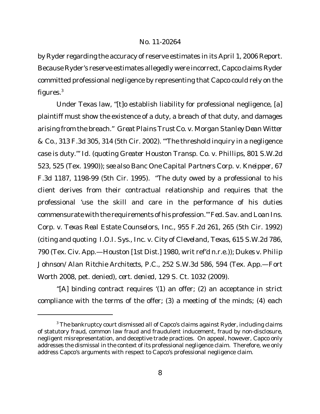by Ryder regarding the accuracy of reserve estimates in its April 1, 2006 Report. Because Ryder's reserve estimates allegedly were incorrect, Capco claims Ryder committed professional negligence by representing that Capco could rely on the figures.<sup>3</sup>

Under Texas law, "[t]o establish liability for professional negligence, [a] plaintiff must show the existence of a duty, a breach of that duty, and damages arising from the breach." *Great Plains Trust Co. v. Morgan Stanley Dean Witter & Co.*, 313 F.3d 305, 314 (5th Cir. 2002). "'The threshold inquiry in a negligence case is duty.'" *Id.* (quoting *Greater Houston Transp. Co. v. Phillips*, 801 S.W.2d 523, 525 (Tex. 1990)); *see also Banc One Capital Partners Corp. v. Kneipper*, 67 F.3d 1187, 1198-99 (5th Cir. 1995). "The duty owed by a professional to his client derives from their contractual relationship and requires that the professional 'use the skill and care in the performance of his duties commensurate with the requirements of his profession.'" *Fed.Sav. and Loan Ins. Corp. v. Texas Real Estate Counselors, Inc.*, 955 F.2d 261, 265 (5th Cir. 1992) (citing and quoting *I.O.I. Sys., Inc. v. City of Cleveland, Texas*, 615 S.W.2d 786, 790 (Tex. Civ. App.—Houston [1st Dist.] 1980, writ ref'd n.r.e.)); *Dukes v. Philip Johnson/Alan Ritchie Architects, P.C.*, 252 S.W.3d 586, 594 (Tex. App.—Fort Worth 2008, pet. denied), *cert. denied*, 129 S. Ct. 1032 (2009).

"[A] binding contract requires '(1) an offer; (2) an acceptance in strict compliance with the terms of the offer; (3) a meeting of the minds; (4) each

 $3$  The bankruptcy court dismissed all of Capco's claims against Ryder, including claims of statutory fraud, common law fraud and fraudulent inducement, fraud by non-disclosure, negligent misrepresentation, and deceptive trade practices. On appeal, however, Capco only addresses the dismissal in the context of its professional negligence claim. Therefore, we only address Capco's arguments with respect to Capco's professional negligence claim.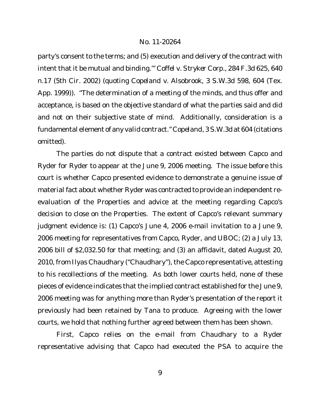party's consent to the terms; and (5) execution and delivery of the contract with intent that it be mutual and binding.'" *Coffel v. Stryker Corp.*, 284 F.3d 625, 640 n.17 (5th Cir. 2002) (quoting *Copeland v. Alsobrook*, 3 S.W.3d 598, 604 (Tex. App. 1999)). "The determination of a meeting of the minds, and thus offer and acceptance, is based on the objective standard of what the parties said and did and not on their subjective state of mind. Additionally, consideration is a fundamental element of any valid contract." *Copeland*, 3 S.W.3d at 604 (citations omitted).

The parties do not dispute that a contract existed between Capco and Ryder for Ryder to appear at the June 9, 2006 meeting. The issue before this court is whether Capco presented evidence to demonstrate a genuine issue of material fact about whether Ryder was contracted to provide an independent reevaluation of the Properties and advice at the meeting regarding Capco's decision to close on the Properties. The extent of Capco's relevant summary judgment evidence is: (1) Capco's June 4, 2006 e-mail invitation to a June 9, 2006 meeting for representatives from Capco, Ryder, and UBOC; (2) a July 13, 2006 bill of \$2,032.50 for that meeting; and (3) an affidavit, dated August 20, 2010, from Ilyas Chaudhary ("Chaudhary"), the Capco representative, attesting to his recollections of the meeting. As both lower courts held, none of these pieces of evidence indicates that the implied contract established for the June 9, 2006 meeting was for anything more than Ryder's presentation of the report it previously had been retained by Tana to produce. Agreeing with the lower courts, we hold that nothing further agreed between them has been shown.

First, Capco relies on the e-mail from Chaudhary to a Ryder representative advising that Capco had executed the PSA to acquire the

9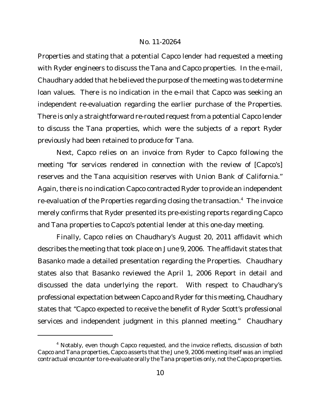Properties and stating that a potential Capco lender had requested a meeting with Ryder engineers to discuss the Tana and Capco properties. In the e-mail, Chaudhary added that he believed the purpose of the meeting was to determine loan values. There is no indication in the e-mail that Capco was seeking an independent re-evaluation regarding the earlier purchase of the Properties. There is only a straightforward re-routed request from a potential Capco lender to discuss the Tana properties, which were the subjects of a report Ryder previously had been retained to produce for Tana.

Next, Capco relies on an invoice from Ryder to Capco following the meeting "for services rendered in connection with the review of [Capco's] reserves and the Tana acquisition reserves with Union Bank of California." Again, there is no indication Capco contracted Ryder to provide an independent re-evaluation of the Properties regarding closing the transaction.<sup>4</sup> The invoice merely confirms that Ryder presented its pre-existing reports regarding Capco and Tana properties to Capco's potential lender at this one-day meeting.

Finally, Capco relies on Chaudhary's August 20, 2011 affidavit which describes the meeting that took place on June 9, 2006. The affidavit states that Basanko made a detailed presentation regarding the Properties. Chaudhary states also that Basanko reviewed the April 1, 2006 Report in detail and discussed the data underlying the report. With respect to Chaudhary's professional expectation between Capco and Ryder for this meeting, Chaudhary states that "Capco expected to receive the benefit of Ryder Scott's professional services and independent judgment in this planned meeting." Chaudhary

<sup>&</sup>lt;sup>4</sup> Notably, even though Capco requested, and the invoice reflects, discussion of both Capco and Tana properties, Capco asserts that the June 9, 2006 meeting itself was an implied contractual encounter to re-evaluate orally the Tana properties only, not the Capco properties.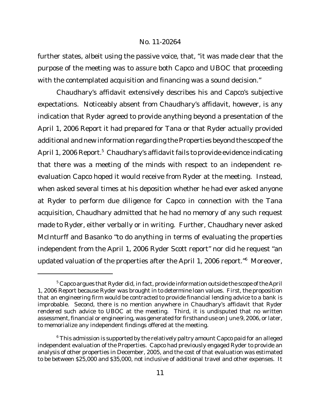further states, albeit using the passive voice, that, "it was made clear that the purpose of the meeting was to assure both Capco and UBOC that proceeding with the contemplated acquisition and financing was a sound decision."

Chaudhary's affidavit extensively describes his and Capco's subjective expectations. Noticeably absent from Chaudhary's affidavit, however, is any indication that Ryder agreed to provide anything beyond a presentation of the April 1, 2006 Report it had prepared for Tana or that Ryder actually provided additional and new information regarding the Properties beyond the scope of the April 1, 2006 Report.<sup>5</sup> Chaudhary's affidavit fails to provide evidence indicating that there was a meeting of the minds with respect to an independent reevaluation Capco hoped it would receive from Ryder at the meeting. Instead, when asked several times at his deposition whether he had ever asked anyone at Ryder to perform due diligence for Capco in connection with the Tana acquisition, Chaudhary admitted that he had no memory of any such request made to Ryder, either verbally or in writing. Further, Chaudhary never asked McInturff and Basanko "to do anything in terms of evaluating the properties independent from the April 1, 2006 Ryder Scott report" nor did he request "an updated valuation of the properties after the April 1, 2006 report."<sup>6</sup> Moreover,

 $5$  Capco argues that Ryder did, in fact, provide information outside the scope of the April 1, 2006 Report because Ryder was brought in to determine loan values. First, the proposition that an engineering firm would be contracted to provide financial lending advice to a bank is improbable. Second, there is no mention anywhere in Chaudhary's affidavit that Ryder rendered such advice to UBOC at the meeting. Third, it is undisputed that no written assessment, financial or engineering, was generated for firsthand use on June 9, 2006, or later, to memorialize any independent findings offered at the meeting.

<sup>&</sup>lt;sup>6</sup> This admission is supported by the relatively paltry amount Capco paid for an alleged independent evaluation of the Properties. Capco had previously engaged Ryder to provide an analysis of other properties in December, 2005, and the cost of that evaluation was estimated to be between \$25,000 and \$35,000, not inclusive of additional travel and other expenses. It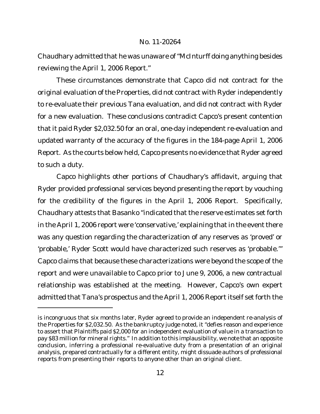Chaudhary admitted that he was unaware of"McInturff doing anything besides reviewing the April 1, 2006 Report."

These circumstances demonstrate that Capco did not contract for the original evaluation of the Properties, did not contract with Ryder independently to re-evaluate their previous Tana evaluation, and did not contract with Ryder for a new evaluation. These conclusions contradict Capco's present contention that it paid Ryder \$2,032.50 for an oral, one-day independent re-evaluation and updated warranty of the accuracy of the figures in the 184-page April 1, 2006 Report. As the courts below held, Capco presents no evidence that Ryder agreed to such a duty.

Capco highlights other portions of Chaudhary's affidavit, arguing that Ryder provided professional services beyond presenting the report by vouching for the credibility of the figures in the April 1, 2006 Report. Specifically, Chaudhary attests that Basanko "indicated that the reserve estimates set forth in the April 1, 2006 report were 'conservative,' explaining that in the event there was any question regarding the characterization of any reserves as 'proved' or 'probable,' Ryder Scott would have characterized such reserves as 'probable.'" Capco claims that because these characterizations were beyond the scope of the report and were unavailable to Capco prior to June 9, 2006, a new contractual relationship was established at the meeting. However, Capco's own expert admitted that Tana's prospectus and the April 1, 2006 Report itself set forth the

is incongruous that six months later, Ryder agreed to provide an independent re-analysis of the Properties for \$2,032.50. As the bankruptcy judge noted, it "defies reason and experience to assert that Plaintiffs paid \$2,000 for an independent evaluation of value in a transaction to pay \$83 million for mineral rights." In addition to this implausibility, we note that an opposite conclusion, inferring a professional re-evaluative duty from a presentation of an original analysis, prepared contractually for a different entity, might dissuade authors of professional reports from presenting their reports to anyone other than an original client.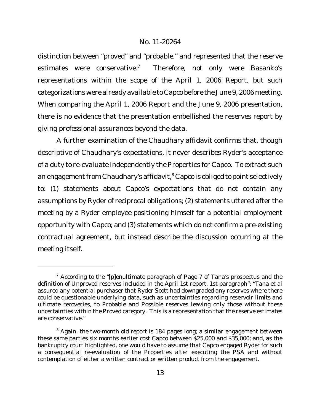distinction between "proved" and "probable," and represented that the reserve estimates were conservative.<sup>7</sup> Therefore, not only were Basanko's representations within the scope of the April 1, 2006 Report, but such categorizations were already available to Capco before the June 9, 2006 meeting. When comparing the April 1, 2006 Report and the June 9, 2006 presentation, there is no evidence that the presentation embellished the reserves report by giving professional assurances beyond the data.

A further examination of the Chaudhary affidavit confirms that, though descriptive of Chaudhary's expectations, it never describes Ryder's acceptance of a duty to re-evaluate independently the Properties for Capco. To extract such an engagement from Chaudhary's affidavit, $8$  Capco is obliged to point selectively to: (1) statements about Capco's expectations that do not contain any assumptions by Ryder of reciprocal obligations; (2) statements uttered after the meeting by a Ryder employee positioning himself for a potential employment opportunity with Capco; and (3) statements which do not confirm a pre-existing contractual agreement, but instead describe the discussion occurring at the meeting itself.

 $7$  According to the "[p]enultimate paragraph of Page 7 of Tana's prospectus and the definition of Unproved reserves included in the April 1st report, 1st paragraph": "Tana et al assured any potential purchaser that Ryder Scott had downgraded any reserves where there could be questionable underlying data, such as uncertainties regarding reservoir limits and ultimate recoveries, to Probable and Possible reserves leaving only those without these uncertainties within the Proved category. This is a representation that the reserve estimates are conservative."

<sup>&</sup>lt;sup>8</sup> Again, the two-month old report is 184 pages long; a similar engagement between these same parties six months earlier cost Capco between \$25,000 and \$35,000; and, as the bankruptcy court highlighted, one would have to assume that Capco engaged Ryder for such a consequential re-evaluation of the Properties after executing the PSA and without contemplation of either a written contract or written product from the engagement.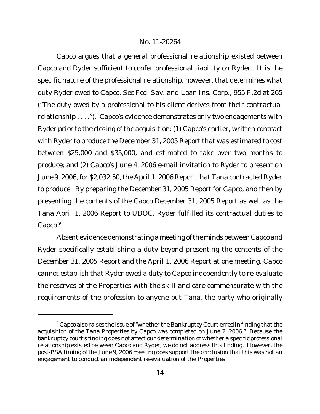Capco argues that a general professional relationship existed between Capco and Ryder sufficient to confer professional liability on Ryder. It is the specific nature of the professional relationship, however, that determines what duty Ryder owed to Capco. *See Fed. Sav. and Loan Ins. Corp.*, 955 F.2d at 265 ("The duty owed by a professional to his client derives from their contractual relationship . . . ."). Capco's evidence demonstrates only two engagements with Ryder prior to the closing of the acquisition: (1) Capco's earlier, written contract with Ryder to produce the December 31, 2005 Report that was estimated to cost between \$25,000 and \$35,000, and estimated to take over two months to produce; and (2) Capco's June 4, 2006 e-mail invitation to Ryder to present on June 9, 2006, for \$2,032.50, the April 1, 2006 Report that Tana contracted Ryder to produce. By preparing the December 31, 2005 Report for Capco, and then by presenting the contents of the Capco December 31, 2005 Report as well as the Tana April 1, 2006 Report to UBOC, Ryder fulfilled its contractual duties to Capco.<sup>9</sup>

Absent evidence demonstrating a meeting of the minds between Capco and Ryder specifically establishing a duty beyond presenting the contents of the December 31, 2005 Report and the April 1, 2006 Report at one meeting, Capco cannot establish that Ryder owed a duty to Capco independently to re-evaluate the reserves of the Properties with the skill and care commensurate with the requirements of the profession to anyone but Tana, the party who originally

<sup>&</sup>lt;sup>9</sup> Capco also raises the issue of "whether the Bankruptcy Court erred in finding that the acquisition of the Tana Properties by Capco was completed on June 2, 2006." Because the bankruptcy court's finding does not affect our determination of whether a specific professional relationship existed between Capco and Ryder, we do not address this finding. However, the post-PSA timing of the June 9, 2006 meeting does support the conclusion that this was not an engagement to conduct an independent re-evaluation of the Properties.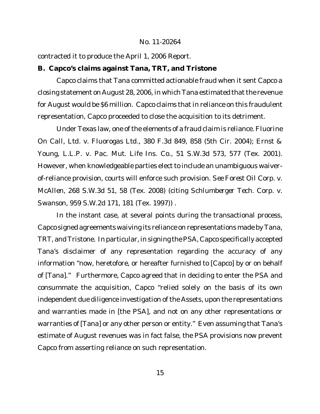contracted it to produce the April 1, 2006 Report.

**B. Capco's claims against Tana, TRT, and Tristone**

Capco claims that Tana committed actionable fraud when it sent Capco a closing statement on August 28, 2006, in which Tana estimated that the revenue for August would be \$6 million. Capco claims that in reliance on this fraudulent representation, Capco proceeded to close the acquisition to its detriment.

Under Texas law, one of the elements of a fraud claim is reliance. *Fluorine On Call, Ltd. v. Fluorogas Ltd.*, 380 F.3d 849, 858 (5th Cir. 2004); *Ernst & Young, L.L.P. v. Pac. Mut. Life Ins. Co.*, 51 S.W.3d 573, 577 (Tex. 2001). However, when knowledgeable parties elect to include an unambiguous waiverof-reliance provision, courts will enforce such provision. *See Forest Oil Corp. v. McAllen*, 268 S.W.3d 51, 58 (Tex. 2008) (citing *Schlumberger Tech. Corp. v. Swanson*, 959 S.W.2d 171, 181 (Tex. 1997)) .

In the instant case, at several points during the transactional process, Capco signed agreements waiving its reliance on representations made by Tana, TRT, andTristone. In particular, in signing the PSA, Capco specifically accepted Tana's disclaimer of any representation regarding the accuracy of any information "now, heretofore, or hereafter furnished to [Capco] by or on behalf of [Tana]." Furthermore, Capco agreed that in deciding to enter the PSA and consummate the acquisition, Capco "relied solely on the basis of its own independent due diligence investigation of the Assets, upon the representations and warranties made in [the PSA], and not on any other representations or warranties of [Tana] or any other person or entity." Even assuming that Tana's estimate of August revenues was in fact false, the PSA provisions now prevent Capco from asserting reliance on such representation.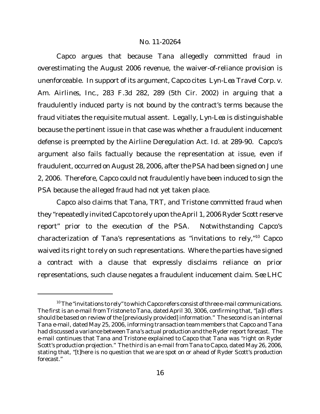Capco argues that because Tana allegedly committed fraud in overestimating the August 2006 revenue, the waiver-of-reliance provision is unenforceable. In support of its argument, Capco cites *Lyn-Lea Travel Corp. v. Am. Airlines, Inc.*, 283 F.3d 282, 289 (5th Cir. 2002) in arguing that a fraudulently induced party is not bound by the contract's terms because the fraud vitiates the requisite mutual assent. Legally, *Lyn-Lea* is distinguishable because the pertinent issue in that case was whether a fraudulent inducement defense is preempted by the Airline Deregulation Act. *Id.* at 289-90. Capco's argument also fails factually because the representation at issue, even if fraudulent, occurred on August 28, 2006, after the PSA had been signed on June 2, 2006. Therefore, Capco could not fraudulently have been induced to sign the PSA because the alleged fraud had not yet taken place.

Capco also claims that Tana, TRT, and Tristone committed fraud when they "repeatedly invited Capco to rely upon the April 1, 2006 Ryder Scott reserve report" prior to the execution of the PSA. Notwithstanding Capco's characterization of Tana's representations as "invitations to rely,"<sup>10</sup> Capco waived its right to rely on such representations. Where the parties have signed a contract with a clause that expressly disclaims reliance on prior representations, such clause negates a fraudulent inducement claim. *See LHC*

 $10$  The "invitations to rely" to which Capco refers consist of three e-mail communications. The first is an e-mail from Tristone to Tana, dated April 30, 3006, confirming that, "[a]ll offers should be based on review of the [previously provided] information." The second is an internal Tana e-mail, dated May 25, 2006, informing transaction team members that Capco and Tana had discussed a variance between Tana's actual production and the Ryder report forecast. The e-mail continues that Tana and Tristone explained to Capco that Tana was "right on Ryder Scott's production projection." The third is an e-mail from Tana to Capco, dated May 26, 2006, stating that, "[t]here is no question that we are spot on or ahead of Ryder Scott's production forecast."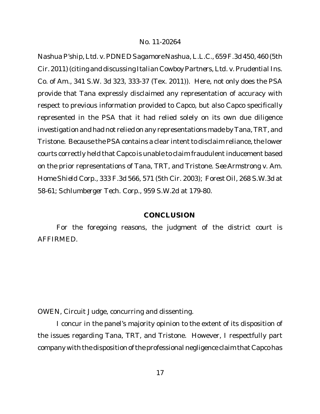*NashuaP'ship, Ltd. v. PDNED Sagamore Nashua, L.L.C.*, 659 F.3d 450, 460 (5th Cir. 2011) (citing and discussing *Italian Cowboy Partners, Ltd. v.Prudential Ins. Co. of Am.*, 341 S.W. 3d 323, 333-37 (Tex. 2011)). Here, not only does the PSA provide that Tana expressly disclaimed any representation of accuracy with respect to previous information provided to Capco, but also Capco specifically represented in the PSA that it had relied solely on its own due diligence investigation and had not relied on any representations made by Tana,TRT, and Tristone. Because the PSA contains a clear intent to disclaim reliance, the lower courts correctly held that Capco is unable to claim fraudulent inducement based on the prior representations of Tana, TRT, and Tristone. *See Armstrong v. Am. Home Shield Corp.*, 333 F.3d 566, 571 (5th Cir. 2003); *Forest Oil*, 268 S.W.3d at 58-61; *Schlumberger Tech. Corp.*, 959 S.W.2d at 179-80.

# **CONCLUSION**

For the foregoing reasons, the judgment of the district court is AFFIRMED.

OWEN, Circuit Judge, concurring and dissenting.

I concur in the panel's majority opinion to the extent of its disposition of the issues regarding Tana, TRT, and Tristone. However, I respectfully part company with the disposition of the professional negligence claim that Capco has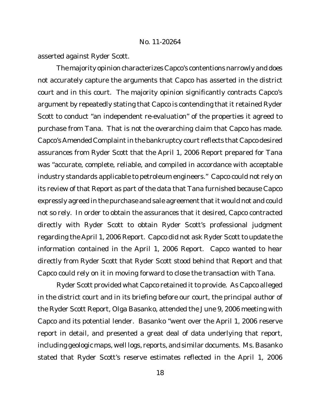asserted against Ryder Scott.

The majority opinion characterizes Capco's contentions narrowly and does not accurately capture the arguments that Capco has asserted in the district court and in this court. The majority opinion significantly contracts Capco's argument by repeatedly stating that Capco is contending that it retained Ryder Scott to conduct "an independent re-evaluation" of the properties it agreed to purchase from Tana. That is not the overarching claim that Capco has made. Capco's Amended Complaint in the bankruptcy court reflects that Capco desired assurances from Ryder Scott that the April 1, 2006 Report prepared for Tana was "accurate, complete, reliable, and compiled in accordance with acceptable industry standards applicable to petroleum engineers." Capco could not rely on its review of that Report as part of the data that Tana furnished because Capco expressly agreed in the purchase and sale agreement that it would not and could not so rely. In order to obtain the assurances that it desired, Capco contracted directly with Ryder Scott to obtain Ryder Scott's professional judgment regarding the April 1, 2006 Report. Capco did not ask Ryder Scott to update the information contained in the April 1, 2006 Report. Capco wanted to hear directly from Ryder Scott that Ryder Scott stood behind that Report and that Capco could rely on it in moving forward to close the transaction with Tana.

Ryder Scott provided what Capco retained it to provide. As Capco alleged in the district court and in its briefing before our court, the principal author of the Ryder Scott Report, Olga Basanko, attended the June 9, 2006 meeting with Capco and its potential lender. Basanko "went over the April 1, 2006 reserve report in detail, and presented a great deal of data underlying that report, including geologic maps, well logs, reports, and similar documents. Ms. Basanko stated that Ryder Scott's reserve estimates reflected in the April 1, 2006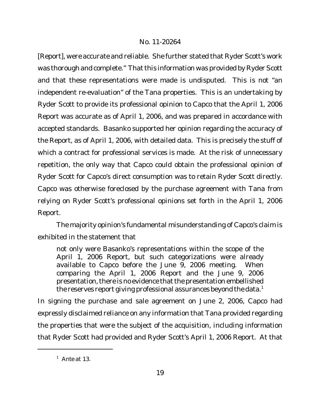[Report], were accurate and reliable. She further stated that Ryder Scott's work was thorough and complete." That this information was provided by Ryder Scott and that these representations were made is undisputed. This is not "an independent re-evaluation" of the Tana properties. This is an undertaking by Ryder Scott to provide its professional opinion to Capco that the April 1, 2006 Report was accurate as of April 1, 2006, and was prepared in accordance with accepted standards. Basanko supported her opinion regarding the accuracy of the Report, as of April 1, 2006, with detailed data. This is precisely the stuff of which a contract for professional services is made. At the risk of unnecessary repetition, the only way that Capco could obtain the professional opinion of Ryder Scott for Capco's direct consumption was to retain Ryder Scott directly. Capco was otherwise foreclosed by the purchase agreement with Tana from relying on Ryder Scott's professional opinions set forth in the April 1, 2006 Report.

The majority opinion's fundamental misunderstanding of Capco's claim is exhibited in the statement that

not only were Basanko's representations within the scope of the April 1, 2006 Report, but such categorizations were already available to Capco before the June 9, 2006 meeting. When comparing the April 1, 2006 Report and the June 9, 2006 presentation, there is no evidence that the presentation embellished the reserves report giving professional assurances beyond the data.<sup>1</sup>

In signing the purchase and sale agreement on June 2, 2006, Capco had expressly disclaimed reliance on any information that Tana provided regarding the properties that were the subject of the acquisition, including information that Ryder Scott had provided and Ryder Scott's April 1, 2006 Report. At that

<sup>1</sup> *Ante* at 13.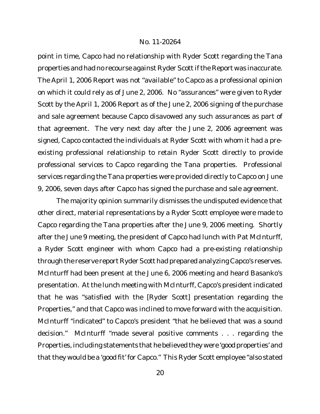point in time, Capco had no relationship with Ryder Scott regarding the Tana properties and had no recourse against Ryder Scott if the Report was inaccurate. The April 1, 2006 Report was not "available" to Capco as a professional opinion on which it could rely as of June 2, 2006. No "assurances" were given to Ryder Scott by the April 1, 2006 Report as of the June 2, 2006 signing of the purchase and sale agreement because Capco disavowed any such assurances as part of that agreement. The very next day after the June 2, 2006 agreement was signed, Capco contacted the individuals at Ryder Scott with whom it had a preexisting professional relationship to retain Ryder Scott directly to provide professional services to Capco regarding the Tana properties. Professional services regarding the Tana properties were provided directly to Capco on June 9, 2006, seven days after Capco has signed the purchase and sale agreement.

The majority opinion summarily dismisses the undisputed evidence that other direct, material representations by a Ryder Scott employee were made to Capco regarding the Tana properties after the June 9, 2006 meeting. Shortly after the June 9 meeting, the president of Capco had lunch with Pat McInturff, a Ryder Scott engineer with whom Capco had a pre-existing relationship through the reserve report Ryder Scott had prepared analyzing Capco's reserves. McInturff had been present at the June 6, 2006 meeting and heard Basanko's presentation. At the lunch meeting with McInturff, Capco's president indicated that he was "satisfied with the [Ryder Scott] presentation regarding the Properties," and that Capco was inclined to move forward with the acquisition. McInturff "indicated" to Capco's president "that he believed that was a sound decision." McInturff "made several positive comments . . . regarding the Properties, including statements that he believed they were 'good properties' and that they would be a 'good fit' for Capco." This Ryder Scott employee "also stated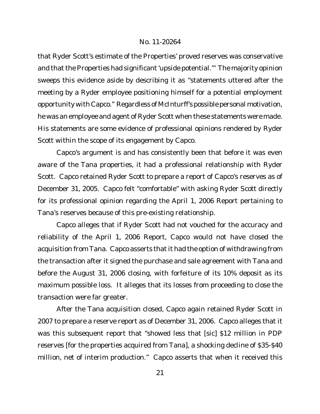that Ryder Scott's estimate of the Properties' proved reserves was conservative and that the Properties had significant'upside potential.'" The majority opinion sweeps this evidence aside by describing it as "statements uttered after the meeting by a Ryder employee positioning himself for a potential employment opportunity with Capco." Regardless of McInturff's possible personal motivation, he was an employee and agent of Ryder Scott when these statements were made. His statements are some evidence of professional opinions rendered by Ryder Scott within the scope of its engagement by Capco.

Capco's argument is and has consistently been that before it was even aware of the Tana properties, it had a professional relationship with Ryder Scott. Capco retained Ryder Scott to prepare a report of Capco's reserves as of December 31, 2005. Capco felt "comfortable" with asking Ryder Scott directly for its professional opinion regarding the April 1, 2006 Report pertaining to Tana's reserves because of this pre-existing relationship.

Capco alleges that if Ryder Scott had not vouched for the accuracy and reliability of the April 1, 2006 Report, Capco would not have closed the acquisition from Tana. Capco asserts that it had the option of withdrawing from the transaction after it signed the purchase and sale agreement with Tana and before the August 31, 2006 closing, with forfeiture of its 10% deposit as its maximum possible loss. It alleges that its losses from proceeding to close the transaction were far greater.

After the Tana acquisition closed, Capco again retained Ryder Scott in 2007 to prepare a reserve report as of December 31, 2006. Capco alleges that it was this subsequent report that "showed less that [sic] \$12 million in PDP reserves [for the properties acquired from Tana], a shocking decline of \$35-\$40 million, net of interim production." Capco asserts that when it received this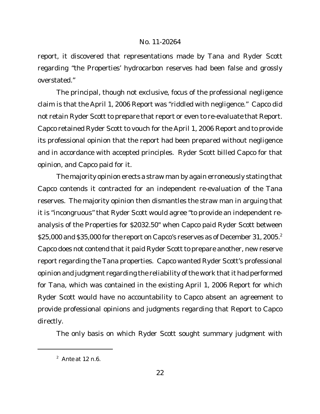report, it discovered that representations made by Tana and Ryder Scott regarding "the Properties' hydrocarbon reserves had been false and grossly overstated."

The principal, though not exclusive, focus of the professional negligence claim is that the April 1, 2006 Report was "riddled with negligence." Capco did not retain Ryder Scott to prepare that report or even to re-evaluate that Report. Capco retained Ryder Scott to vouch for the April 1, 2006 Report and to provide its professional opinion that the report had been prepared without negligence and in accordance with accepted principles. Ryder Scott billed Capco for that opinion, and Capco paid for it.

The majority opinion erects a straw man by again erroneously stating that Capco contends it contracted for an independent re-evaluation of the Tana reserves. The majority opinion then dismantles the straw man in arguing that it is "incongruous" that Ryder Scott would agree "to provide an independent reanalysis of the Properties for \$2032.50" when Capco paid Ryder Scott between \$25,000 and \$35,000 for the report on Capco's reserves as of December 31, 2005.<sup>2</sup> Capco does not contend that it paid Ryder Scott to prepare another, new reserve report regarding the Tana properties. Capco wanted Ryder Scott's professional opinion and judgment regarding the reliability of the work that it had performed for Tana, which was contained in the existing April 1, 2006 Report for which Ryder Scott would have no accountability to Capco absent an agreement to provide professional opinions and judgments regarding that Report to Capco directly.

The *only* basis on which Ryder Scott sought summary judgment with

<sup>2</sup> *Ante* at 12 n.6.